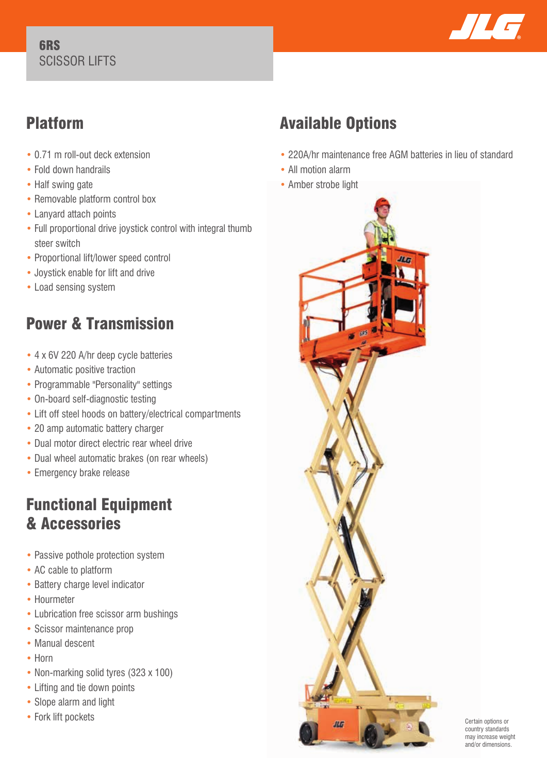#### 6RS SCISSOR LIFTS



## Platform

- 0.71 m roll-out deck extension
- Fold down handrails
- Half swing gate
- Removable platform control box
- Lanyard attach points
- Full proportional drive joystick control with integral thumb steer switch
- Proportional lift/lower speed control
- Joystick enable for lift and drive
- Load sensing system

# Power & Transmission

- 4 x 6V 220 A/hr deep cycle batteries
- Automatic positive traction
- Programmable "Personality" settings
- On-board self-diagnostic testing
- Lift off steel hoods on battery/electrical compartments
- 20 amp automatic battery charger
- Dual motor direct electric rear wheel drive
- Dual wheel automatic brakes (on rear wheels)
- Emergency brake release

### Functional Equipment & Accessories

- Passive pothole protection system
- AC cable to platform
- Battery charge level indicator
- Hourmeter
- Lubrication free scissor arm bushings
- Scissor maintenance prop
- Manual descent
- Horn
- Non-marking solid tyres (323 x 100)
- Lifting and tie down points
- Slope alarm and light
- Fork lift pockets

# Available Options

- 220A/hr maintenance free AGM batteries in lieu of standard
- All motion alarm
- Amber strobe light



Certain options or country standards may increase weight and/or dimensions.